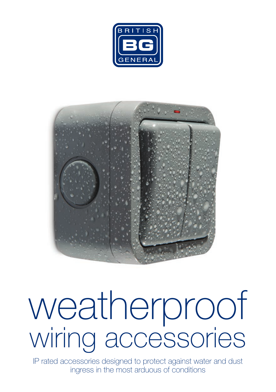



# wiring accessories weatherproof

IP rated accessories designed to protect against water and dust ingress in the most arduous of conditions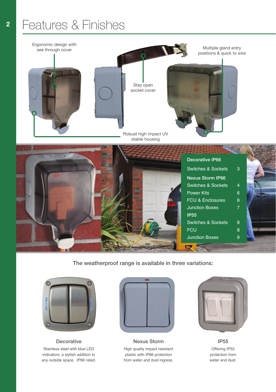## Features & Finishes



The weatherproof range is available in three variations:



**Decorative** Stainless steel with blue LED indicators, a stylish addition to any outside space. IP66 rated.



High quality impact resistant plastic with IP66 protection from water and dust ingress. Nexus Storm **IP55** 



Offering IP55 protection from water and dust.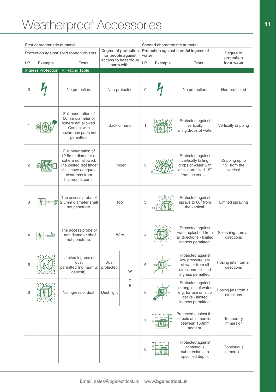## Weatherproof Accessories **11**

| First characteristic numeral         |         |                                                                                                                                                          |                                                                                  |        |                                                | Second characteristic numeral |                                                                                                              |                                            |  |
|--------------------------------------|---------|----------------------------------------------------------------------------------------------------------------------------------------------------------|----------------------------------------------------------------------------------|--------|------------------------------------------------|-------------------------------|--------------------------------------------------------------------------------------------------------------|--------------------------------------------|--|
|                                      |         | Protection against solid foreign objects                                                                                                                 | Degree of protection<br>for people against<br>access to hazardous<br>parts with: |        | Protection against harmful ingress of<br>water |                               |                                                                                                              | Degree of<br>protection                    |  |
| I.P.                                 | Example | <b>Tests</b>                                                                                                                                             |                                                                                  |        | I.P.                                           | <b>Tests</b><br>Example       |                                                                                                              | from water                                 |  |
| Ingress Protection (IP) Rating Table |         |                                                                                                                                                          |                                                                                  |        |                                                |                               |                                                                                                              |                                            |  |
| $\Omega$                             |         | No protection.                                                                                                                                           | Non-protected                                                                    |        | $\overline{0}$                                 |                               | No protection.                                                                                               | Non-protected                              |  |
| 1                                    |         | Full penetration of<br>50mm diameter of<br>sphere not allowed.<br>Contact with<br>hazardous parts not<br>permitted.                                      | Back of hand                                                                     |        | 1                                              |                               | Protected against<br>vertically<br>falling drops of water.                                                   | Vertically dripping                        |  |
| $\overline{c}$                       |         | Full penetration of<br>12.5mm diameter of<br>sphere not allowed.<br>The jointed test finger<br>shall have adequate<br>clearance from<br>hazardous parts. | Finger                                                                           |        | $\overline{c}$                                 |                               | Protected against<br>vertically falling<br>drops of water with<br>enclosure tilted 15°<br>from the vertical. | Dripping up to<br>15° from the<br>vertical |  |
| 3                                    |         | The access probe of<br>2.5mm diameter shall<br>not penetrate.                                                                                            | Tool                                                                             |        | 3                                              |                               | Protected against<br>sprays to 60° from<br>the vertical.                                                     | Limited spraying                           |  |
| $\overline{4}$                       |         | The access probe of<br>1mm diameter shall<br>not penetrate.                                                                                              | Wire                                                                             |        | $\overline{4}$                                 |                               | Protected against<br>water splashed from<br>all directions - limited<br>ingress permitted.                   | Splashing from all<br>directions           |  |
| 5                                    |         | Limited ingress of<br>dust<br>permitted (no harmful<br>deposit).                                                                                         | Dust<br>protected                                                                | W<br>т | 5                                              |                               | Protected against<br>low pressure jets<br>of water from all<br>directions - limited<br>ingress permitted.    | Hosing jets from all<br>directions         |  |
| 6                                    |         | No ingress of dust.                                                                                                                                      | Dust tight                                                                       | R<br>E | 6                                              |                               | Protected against<br>strong jets of water<br>e.g. for use on ship<br>decks - limited<br>ingress permitted.   | Hosing jets from all<br>directions         |  |
|                                      |         |                                                                                                                                                          |                                                                                  |        | $\overline{7}$                                 |                               | Protected against the<br>effects of immersion<br>between 150mm<br>and 1m.                                    | Temporary<br>immersion                     |  |
|                                      |         |                                                                                                                                                          |                                                                                  |        | 8                                              |                               | Protected against<br>continuous<br>submersion at a<br>specified depth.                                       | Continuous<br>immersion                    |  |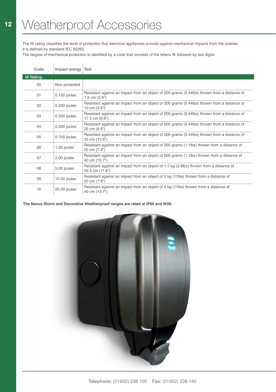The IK rating classifies the level of protection that electrical appliances provide against mechanical impacts from the outside. It is defined by standard IEC 62262.

The degree of mechanical protection is identified by a code that consists of the letters IK followed by two digits:

| Code             | Impact energy | Test                                                                                                          |
|------------------|---------------|---------------------------------------------------------------------------------------------------------------|
| <b>IK Rating</b> |               |                                                                                                               |
| $00\,$           | Non-protected |                                                                                                               |
| 01               | 0.150 joules  | Resistant against an impact from an object of 200 grams (0.44lbs) thrown from a distance of<br>7.5 cm (2.9")  |
| 02               | 0.200 joules  | Resistant against an impact from an object of 200 grams (0.44lbs) thrown from a distance of<br>10 cm (3.9")   |
| 03               | 0.350 joules  | Resistant against an impact from an object of 200 grams (0.44lbs) thrown from a distance of<br>17.5 cm (6.9") |
| 04               | 0.500 joules  | Resistant against an impact from an object of 200 grams (0.44lbs) thrown from a distance of<br>25 cm (9.8")   |
| 05               | 0.700 joules  | Resistant against an impact from an object of 200 grams (0.44lbs) thrown from a distance of<br>35 cm (13.8")  |
| 06               | 1.00 joules   | Resistant against an impact from an object of 500 grams (1.1lbs) thrown from a distance of<br>20 cm (7.9")    |
| 07               | 2.00 joules   | Resistant against an impact from an object of 500 grams (1.1lbs) thrown from a distance of<br>40 cm (15.7")   |
| 08               | 5.00 joules   | Resistant against an impact from an object of 1.7 kg (3.8lbs) thrown from a distance of<br>29.5 cm (11.6")    |
| 09               | 10.00 joules  | Resistant against an impact from an object of 5 kg (11lbs) thrown from a distance of<br>20 cm (7.9")          |
| 10               | 20.00 joules  | Resistant against an impact from an object of 5 kg (11lbs) thrown from a distance of<br>40 cm (15.7")         |

**The Nexus Storm and Decorative Weatherproof ranges are rated at IP66 and IK06.**